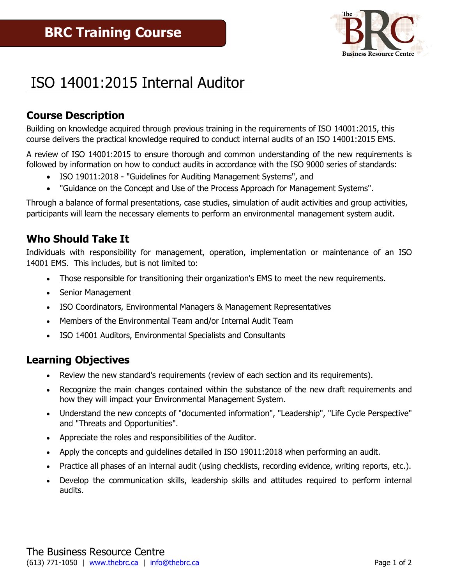

# ISO 14001:2015 Internal Auditor

# **Course Description**

Building on knowledge acquired through previous training in the requirements of ISO 14001:2015, this course delivers the practical knowledge required to conduct internal audits of an ISO 14001:2015 EMS.

A review of ISO 14001:2015 to ensure thorough and common understanding of the new requirements is followed by information on how to conduct audits in accordance with the ISO 9000 series of standards:

- ISO 19011:2018 "Guidelines for Auditing Management Systems", and
- "Guidance on the Concept and Use of the Process Approach for Management Systems".

Through a balance of formal presentations, case studies, simulation of audit activities and group activities, participants will learn the necessary elements to perform an environmental management system audit.

### **Who Should Take It**

Individuals with responsibility for management, operation, implementation or maintenance of an ISO 14001 EMS. This includes, but is not limited to:

- Those responsible for transitioning their organization's EMS to meet the new requirements.
- Senior Management
- ISO Coordinators, Environmental Managers & Management Representatives
- Members of the Environmental Team and/or Internal Audit Team
- ISO 14001 Auditors, Environmental Specialists and Consultants

### **Learning Objectives**

- Review the new standard's requirements (review of each section and its requirements).
- Recognize the main changes contained within the substance of the new draft requirements and how they will impact your Environmental Management System.
- Understand the new concepts of "documented information", "Leadership", "Life Cycle Perspective" and "Threats and Opportunities".
- Appreciate the roles and responsibilities of the Auditor.
- Apply the concepts and guidelines detailed in ISO 19011:2018 when performing an audit.
- Practice all phases of an internal audit (using checklists, recording evidence, writing reports, etc.).
- Develop the communication skills, leadership skills and attitudes required to perform internal audits.